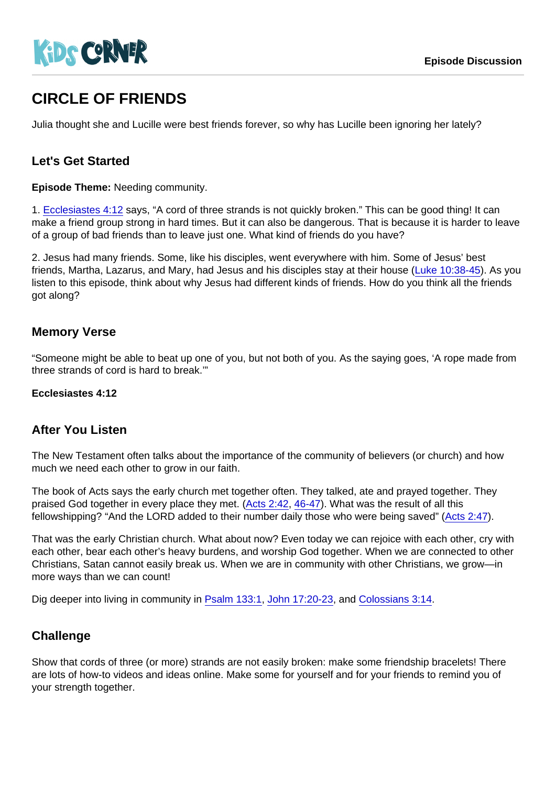# CIRCLE OF FRIENDS

Julia thought she and Lucille were best friends forever, so why has Lucille been ignoring her lately?

## Let's Get Started

Episode Theme: Needing community.

1. [Ecclesiastes 4:12](https://www.biblegateway.com/passage/?search=Ecclesiastes+4:12) says, "A cord of three strands is not quickly broken." This can be good thing! It can make a friend group strong in hard times. But it can also be dangerous. That is because it is harder to leave of a group of bad friends than to leave just one. What kind of friends do you have?

2. Jesus had many friends. Some, like his disciples, went everywhere with him. Some of Jesus' best friends, Martha, Lazarus, and Mary, had Jesus and his disciples stay at their house [\(Luke 10:38-45\)](https://www.biblegateway.com/passage/?search=Luke+10:38-45). As you listen to this episode, think about why Jesus had different kinds of friends. How do you think all the friends got along?

#### Memory Verse

"Someone might be able to beat up one of you, but not both of you. As the saying goes, 'A rope made from three strands of cord is hard to break.'"

Ecclesiastes 4:12

#### After You Listen

The New Testament often talks about the importance of the community of believers (or church) and how much we need each other to grow in our faith.

The book of Acts says the early church met together often. They talked, ate and prayed together. They praised God together in every place they met. [\(Acts 2:42](https://www.biblegateway.com/passage/?search=Acts+2:42), [46-47](https://www.biblegateway.com/passage/?search=Acts+2:46-47)). What was the result of all this fellowshipping? "And the LORD added to their number daily those who were being saved" ([Acts 2:47\)](https://www.biblegateway.com/passage/?search=Acts+2:47).

That was the early Christian church. What about now? Even today we can rejoice with each other, cry with each other, bear each other's heavy burdens, and worship God together. When we are connected to other Christians, Satan cannot easily break us. When we are in community with other Christians, we grow—in more ways than we can count!

Dig deeper into living in community in [Psalm 133:1](https://www.biblegateway.com/passage/?search=Psalm+133:1), [John 17:20-23,](https://www.biblegateway.com/passage/?search=John+17:20-23) and [Colossians 3:14.](https://www.biblegateway.com/passage/?search=Colossians+3:14)

## **Challenge**

Show that cords of three (or more) strands are not easily broken: make some friendship bracelets! There are lots of how-to videos and ideas online. Make some for yourself and for your friends to remind you of your strength together.